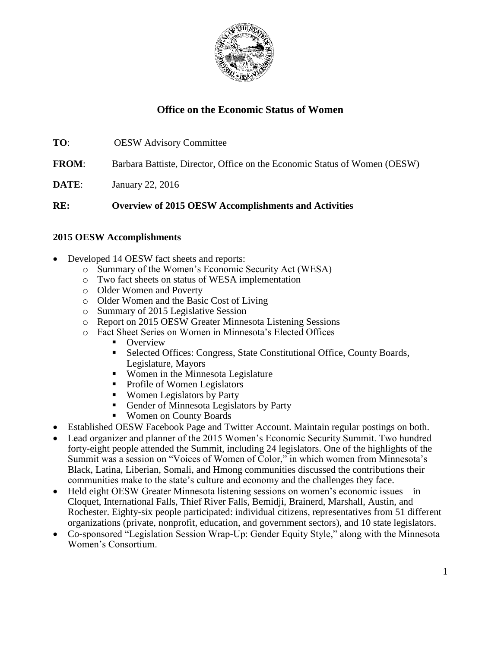

# **Office on the Economic Status of Women**

| TO: | <b>OESW</b> Advisory Committee |  |
|-----|--------------------------------|--|
|     |                                |  |

**FROM**: Barbara Battiste, Director, Office on the Economic Status of Women (OESW)

**DATE:** January 22, 2016

**RE: Overview of 2015 OESW Accomplishments and Activities**

### **2015 OESW Accomplishments**

- Developed 14 OESW fact sheets and reports:
	- o Summary of the Women's Economic Security Act (WESA)
	- o Two fact sheets on status of WESA implementation
	- o Older Women and Poverty
	- o Older Women and the Basic Cost of Living
	- o Summary of 2015 Legislative Session
	- o Report on 2015 OESW Greater Minnesota Listening Sessions
	- o Fact Sheet Series on Women in Minnesota's Elected Offices
		- Overview
		- Selected Offices: Congress, State Constitutional Office, County Boards, Legislature, Mayors
		- Women in the Minnesota Legislature
		- Profile of Women Legislators
		- Women Legislators by Party
		- Gender of Minnesota Legislators by Party
		- Women on County Boards
- Established OESW Facebook Page and Twitter Account. Maintain regular postings on both.
- Lead organizer and planner of the 2015 Women's Economic Security Summit. Two hundred forty-eight people attended the Summit, including 24 legislators. One of the highlights of the Summit was a session on "Voices of Women of Color," in which women from Minnesota's Black, Latina, Liberian, Somali, and Hmong communities discussed the contributions their communities make to the state's culture and economy and the challenges they face.
- Held eight OESW Greater Minnesota listening sessions on women's economic issues—in Cloquet, International Falls, Thief River Falls, Bemidji, Brainerd, Marshall, Austin, and Rochester. Eighty-six people participated: individual citizens, representatives from 51 different organizations (private, nonprofit, education, and government sectors), and 10 state legislators.
- Co-sponsored "Legislation Session Wrap-Up: Gender Equity Style," along with the Minnesota Women's Consortium.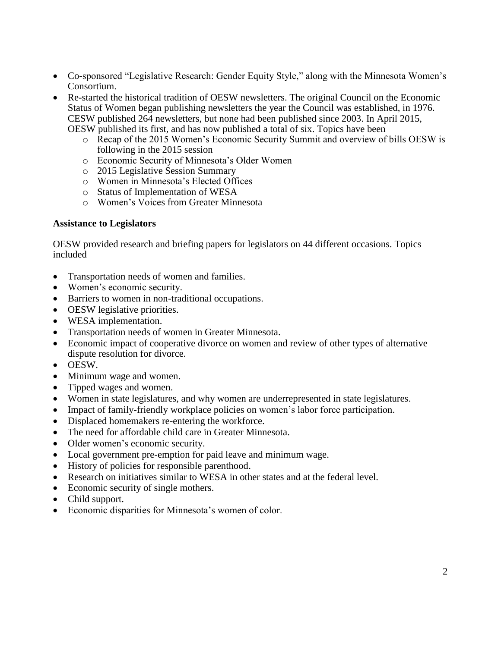- Co-sponsored "Legislative Research: Gender Equity Style," along with the Minnesota Women's Consortium.
- Re-started the historical tradition of OESW newsletters. The original Council on the Economic Status of Women began publishing newsletters the year the Council was established, in 1976. CESW published 264 newsletters, but none had been published since 2003. In April 2015, OESW published its first, and has now published a total of six. Topics have been
	- o Recap of the 2015 Women's Economic Security Summit and overview of bills OESW is following in the 2015 session
	- o Economic Security of Minnesota's Older Women
	- o 2015 Legislative Session Summary
	- o Women in Minnesota's Elected Offices
	- o Status of Implementation of WESA
	- o Women's Voices from Greater Minnesota

#### **Assistance to Legislators**

OESW provided research and briefing papers for legislators on 44 different occasions. Topics included

- Transportation needs of women and families.
- Women's economic security.
- Barriers to women in non-traditional occupations.
- OESW legislative priorities.
- WESA implementation.
- Transportation needs of women in Greater Minnesota.
- Economic impact of cooperative divorce on women and review of other types of alternative dispute resolution for divorce.
- OESW.
- Minimum wage and women.
- Tipped wages and women.
- Women in state legislatures, and why women are underrepresented in state legislatures.
- Impact of family-friendly workplace policies on women's labor force participation.
- Displaced homemakers re-entering the workforce.
- The need for affordable child care in Greater Minnesota.
- Older women's economic security.
- Local government pre-emption for paid leave and minimum wage.
- History of policies for responsible parenthood.
- Research on initiatives similar to WESA in other states and at the federal level.
- Economic security of single mothers.
- Child support.
- Economic disparities for Minnesota's women of color.